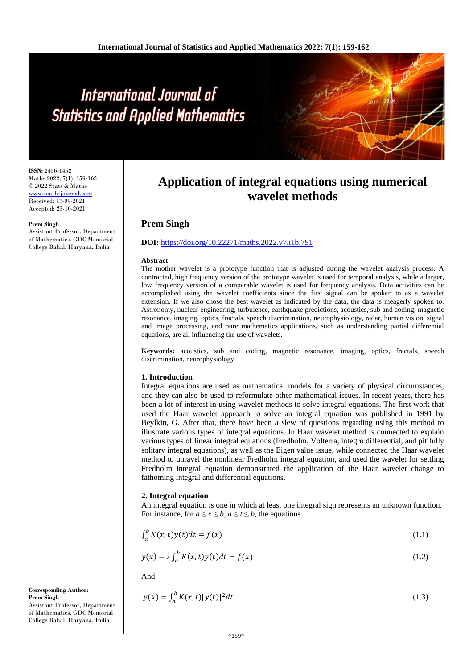# International Journal of **Statistics and Applied Mathematics**

**ISSN:** 2456-1452 Maths 2022; 7(1): 159-162 © 2022 Stats & Maths www.mathsjournal.com Received: 17-09-2021 Accepted: 23-10-2021

#### **Prem Singh**

Assistant Professor, Department of Mathematics, GDC Memorial College Bahal, Haryana, India

# **Application of integral equations using numerical wavelet methods**

## **Prem Singh**

#### **DOI:** <https://doi.org/10.22271/maths.2022.v7.i1b.791>

#### **Abstract**

The mother wavelet is a prototype function that is adjusted during the wavelet analysis process. A contracted, high frequency version of the prototype wavelet is used for temporal analysis, while a larger, low frequency version of a comparable wavelet is used for frequency analysis. Data activities can be accomplished using the wavelet coefficients since the first signal can be spoken to as a wavelet extension. If we also chose the best wavelet as indicated by the data, the data is meagerly spoken to. Astronomy, nuclear engineering, turbulence, earthquake predictions, acoustics, sub and coding, magnetic resonance, imaging, optics, fractals, speech discrimination, neurophysiology, radar, human vision, signal and image processing, and pure mathematics applications, such as understanding partial differential equations, are all influencing the use of wavelets.

**Keywords:** acoustics, sub and coding, magnetic resonance, imaging, optics, fractals, speech discrimination, neurophysiology

#### **1. Introduction**

Integral equations are used as mathematical models for a variety of physical circumstances, and they can also be used to reformulate other mathematical issues. In recent years, there has been a lot of interest in using wavelet methods to solve integral equations. The first work that used the Haar wavelet approach to solve an integral equation was published in 1991 by Beylkin, G. After that, there have been a slew of questions regarding using this method to illustrate various types of integral equations. In Haar wavelet method is connected to explain various types of linear integral equations (Fredholm, Volterra, integro differential, and pitifully solitary integral equations), as well as the Eigen value issue, while connected the Haar wavelet method to unravel the nonlinear Fredholm integral equation, and used the wavelet for settling Fredholm integral equation demonstrated the application of the Haar wavelet change to fathoming integral and differential equations.

#### **2. Integral equation**

An integral equation is one in which at least one integral sign represents an unknown function. For instance, for  $a \le x \le b$ ,  $a \le t \le b$ , the equations

$$
\int_{a}^{b} K(x,t)y(t)dt = f(x) \tag{1.1}
$$

$$
y(x) - \lambda \int_{a}^{b} K(x, t)y(t)dt = f(x)
$$
\n(1.2)

And

$$
y(x) = \int_{a}^{b} K(x, t) [y(t)]^2 dt
$$
 (1.3)

**Corresponding Author: Prem Singh** Assistant Professor, Department of Mathematics, GDC Memorial College Bahal, Haryana, India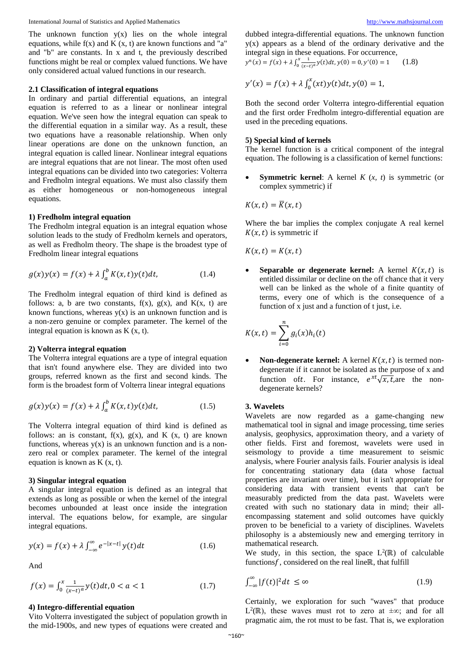International Journal of Statistics and Applied Mathematics [http://www.mathsjournal.com](http://www.mathsjournal.com/)

The unknown function  $y(x)$  lies on the whole integral equations, while  $f(x)$  and  $K(x, t)$  are known functions and "a" and "b" are constants. In x and t, the previously described functions might be real or complex valued functions. We have only considered actual valued functions in our research.

#### **2.1 Classification of integral equations**

In ordinary and partial differential equations, an integral equation is referred to as a linear or nonlinear integral equation. We've seen how the integral equation can speak to the differential equation in a similar way. As a result, these two equations have a reasonable relationship. When only linear operations are done on the unknown function, an integral equation is called linear. Nonlinear integral equations are integral equations that are not linear. The most often used integral equations can be divided into two categories: Volterra and Fredholm integral equations. We must also classify them as either homogeneous or non-homogeneous integral equations.

#### **1) Fredholm integral equation**

The Fredholm integral equation is an integral equation whose solution leads to the study of Fredholm kernels and operators, as well as Fredholm theory. The shape is the broadest type of Fredholm linear integral equations

$$
g(x)y(x) = f(x) + \lambda \int_{a}^{b} K(x, t)y(t)dt,
$$
 (1.4)

The Fredholm integral equation of third kind is defined as follows: a, b are two constants,  $f(x)$ ,  $g(x)$ , and  $K(x, t)$  are known functions, whereas  $y(x)$  is an unknown function and is a non-zero genuine or complex parameter. The kernel of the integral equation is known as K (x, t).

#### **2) Volterra integral equation**

The Volterra integral equations are a type of integral equation that isn't found anywhere else. They are divided into two groups, referred known as the first and second kinds. The form is the broadest form of Volterra linear integral equations

$$
g(x)y(x) = f(x) + \lambda \int_{a}^{b} K(x, t)y(t)dt,
$$
 (1.5)

The Volterra integral equation of third kind is defined as follows: an is constant,  $f(x)$ ,  $g(x)$ , and  $K(x, t)$  are known functions, whereas  $y(x)$  is an unknown function and is a nonzero real or complex parameter. The kernel of the integral equation is known as K (x, t).

#### **3) Singular integral equation**

A singular integral equation is defined as an integral that extends as long as possible or when the kernel of the integral becomes unbounded at least once inside the integration interval. The equations below, for example, are singular integral equations.

$$
y(x) = f(x) + \lambda \int_{-\infty}^{\infty} e^{-|x-t|} y(t) dt
$$
 (1.6)

And

$$
f(x) = \int_0^x \frac{1}{(x-t)^a} y(t)dt, 0 < a < 1 \tag{1.7}
$$

#### **4) Integro-differential equation**

Vito Volterra investigated the subject of population growth in the mid-1900s, and new types of equations were created and dubbed integra-differential equations. The unknown function  $y(x)$  appears as a blend of the ordinary derivative and the integral sign in these equations. For occurrence,

 $y^{n}(x) = f(x) + \lambda \int_{0}^{x} \frac{1}{(x-t)^{a}} y(t) dt, y(0) = 0, y'(0) = 1$  (1.8)

$$
y'(x) = f(x) + \lambda \int_0^x (xt) y(t) dt, y(0) = 1,
$$

Both the second order Volterra integro-differential equation and the first order Fredholm integro-differential equation are used in the preceding equations.

#### **5) Special kind of kernels**

The kernel function is a critical component of the integral equation. The following is a classification of kernel functions:

• **Symmetric kernel**: A kernel *K* (*x, t*) is symmetric (or complex symmetric) if

$$
K(x,t)=\overline{K}(x,t)
$$

Where the bar implies the complex conjugate A real kernel  $K(x, t)$  is symmetric if

 $K(x,t) = K(x,t)$ 

**Separable or degenerate kernel:** A kernel  $K(x,t)$  is entitled dissimilar or decline on the off chance that it very well can be linked as the whole of a finite quantity of terms, every one of which is the consequence of a function of x just and a function of t just, i.e.

$$
K(x,t) = \sum_{i=0}^{n} g_i(x)h_i(t)
$$

**Non-degenerate kernel:** A kernel  $K(x,t)$  is termed nondegenerate if it cannot be isolated as the purpose of x and function oft. For instance,  $e^{xt}\sqrt{x}$ ,  $\overline{t}$ , are the nondegenerate kernels?

### **3. Wavelets**

Wavelets are now regarded as a game-changing new mathematical tool in signal and image processing, time series analysis, geophysics, approximation theory, and a variety of other fields. First and foremost, wavelets were used in seismology to provide a time measurement to seismic analysis, where Fourier analysis fails. Fourier analysis is ideal for concentrating stationary data (data whose factual properties are invariant over time), but it isn't appropriate for considering data with transient events that can't be measurably predicted from the data past. Wavelets were created with such no stationary data in mind; their allencompassing statement and solid outcomes have quickly proven to be beneficial to a variety of disciplines. Wavelets philosophy is a abstemiously new and emerging territory in mathematical research.

We study, in this section, the space  $L^2(\mathbb{R})$  of calculable functions $f$ , considered on the real lineℝ, that fulfill

$$
\int_{-\infty}^{\infty} |f(t)|^2 dt \le \infty \tag{1.9}
$$

Certainly, we exploration for such "waves" that produce  $L^2(\mathbb{R})$ , these waves must rot to zero at  $\pm \infty$ ; and for all pragmatic aim, the rot must to be fast. That is, we exploration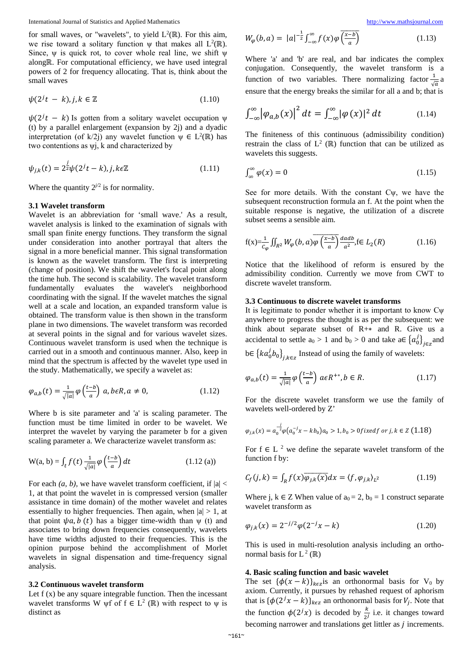for small waves, or "wavelets", to yield  $L^2(\mathbb{R})$ . For this aim, we rise toward a solitary function  $\psi$  that makes all  $L^2(\mathbb{R})$ . Since,  $\psi$  is quick rot, to cover whole real line, we shift  $\psi$ alongℝ. For computational efficiency, we have used integral powers of 2 for frequency allocating. That is, think about the small waves

$$
\psi(2^j t - k), j, k \in \mathbb{Z} \tag{1.10}
$$

 $\psi(2^{j}t - k)$  Is gotten from a solitary wavelet occupation  $\psi$ (t) by a parallel enlargement (expansion by 2j) and a dyadic interpretation (of k/2j) any wavelet function  $\psi \in L^2(\mathbb{R})$  has two contentions as  $\psi$ *j*, *k* and characterized by

$$
\psi_{j,k}(t) = 2^{\frac{1}{2}} \psi(2^j t - k), j, k \in \mathbb{Z}
$$
\n(1.11)

Where the quantity  $2^{j/2}$  is for normality.

#### **3.1 Wavelet transform**

Wavelet is an abbreviation for 'small wave.' As a result, wavelet analysis is linked to the examination of signals with small span finite energy functions. They transform the signal under consideration into another portrayal that alters the signal in a more beneficial manner. This signal transformation is known as the wavelet transform. The first is interpreting (change of position). We shift the wavelet's focal point along the time hub. The second is scalability. The wavelet transform fundamentally evaluates the wavelet's neighborhood coordinating with the signal. If the wavelet matches the signal well at a scale and location, an expanded transform value is obtained. The transform value is then shown in the transform plane in two dimensions. The wavelet transform was recorded at several points in the signal and for various wavelet sizes. Continuous wavelet transform is used when the technique is carried out in a smooth and continuous manner. Also, keep in mind that the spectrum is affected by the wavelet type used in the study. Mathematically, we specify a wavelet as:

$$
\varphi_{a,b}(t) = \frac{1}{\sqrt{|a|}} \varphi\left(\frac{t-b}{a}\right) a, b \in R, a \neq 0,
$$
\n(1.12)

Where b is site parameter and 'a' is scaling parameter. The function must be time limited in order to be wavelet. We interpret the wavelet by varying the parameter b for a given scaling parameter a. We characterize wavelet transform as:

$$
W(a, b) = \int_{t} f(t) \frac{1}{\sqrt{|a|}} \varphi\left(\frac{t - b}{a}\right) dt
$$
 (1.12 (a))

For each  $(a, b)$ , we have wavelet transform coefficient, if  $|a|$  < 1, at that point the wavelet in is compressed version (smaller assistance in time domain) of the mother wavelet and relates essentially to higher frequencies. Then again, when  $|a| > 1$ , at that point  $\psi a$ ,  $b(t)$  has a bigger time-width than  $\psi(t)$  and associates to bring down frequencies consequently, wavelets have time widths adjusted to their frequencies. This is the opinion purpose behind the accomplishment of Morlet wavelets in signal dispensation and time-frequency signal analysis.

#### **3.2 Continuous wavelet transform**

Let  $f(x)$  be any square integrable function. Then the incessant wavelet transforms W  $\psi$ f of f ∈ L<sup>2</sup> (ℝ) with respect to  $\psi$  is distinct as

$$
W_{\varphi}(b, a) = |a|^{-\frac{1}{2}} \int_{-\infty}^{\infty} f(x) \varphi \overline{\left(\frac{x - b}{a}\right)} \tag{1.13}
$$

Where 'a' and 'b' are real, and bar indicates the complex conjugation. Consequently, the wavelet transform is a function of two variables. There normalizing factor  $\frac{1}{\sqrt{a}}a$ ensure that the energy breaks the similar for all a and b; that is

$$
\int_{-\infty}^{\infty} |\varphi_{a,b}(x)|^2 dt = \int_{-\infty}^{\infty} |\varphi(x)|^2 dt \qquad (1.14)
$$

The finiteness of this continuous (admissibility condition) restrain the class of  $L^2(\mathbb{R})$  function that can be utilized as wavelets this suggests.

$$
\int_{\infty}^{\infty} \varphi(x) = 0 \tag{1.15}
$$

See for more details. With the constant Cψ, we have the subsequent reconstruction formula an f. At the point when the suitable response is negative, the utilization of a discrete subset seems a sensible aim.

$$
f(x) = \frac{1}{c_{\varphi}} \iint_{R^2} W_{\varphi}(b, a) \overline{\varphi\left(\frac{x-b}{a}\right)} \frac{daab}{a^2}, f \in L_2(R) \tag{1.16}
$$

Notice that the likelihood of reform is ensured by the admissibility condition. Currently we move from CWT to discrete wavelet transform.

#### **3.3 Continuous to discrete wavelet transforms**

It is legitimate to ponder whether it is important to know Cψ anywhere to progress the thought is as per the subsequent: we think about separate subset of R+∗ and R. Give us a accidental to settle  $a_0 > 1$  and  $b_0 > 0$  and take  $a \in \{a_0\}_{\in \mathbb{Z}}$  and

b∈  $\{ka_0^j b_0\}_{j,k\in\mathbb{Z}}$  Instead of using the family of wavelets:

$$
\varphi_{a,b}(t) = \frac{1}{\sqrt{|a|}} \varphi\left(\frac{t-b}{a}\right) a \in R^{+*}, b \in R.
$$
\n(1.17)

For the discrete wavelet transform we use the family of wavelets well-ordered by Z'

$$
\varphi_{j,k}(x) = a_0^{-\frac{j}{2}} \varphi(a_0^{-j}x - kb_0)a_0 > 1, b_0 > 0 \text{ fixed } f \text{ or } j, k \in \mathbb{Z}
$$
(1.18)

For  $f \in L^2$  we define the separate wavelet transform of the function f by:

$$
C_f(j,k) = \int_R f(x)\overline{\varphi_{j,k}(x)}dx = \langle f, \varphi_{j,k} \rangle_{L^2}
$$
(1.19)

Where j,  $k \in \mathbb{Z}$  When value of  $a_0 = 2$ ,  $b_0 = 1$  construct separate wavelet transform as

$$
\varphi_{j,k}(x) = 2^{-j/2} \varphi(2^{-j}x - k)
$$
\n(1.20)

This is used in multi-resolution analysis including an orthonormal basis for  $L^2(\mathbb{R})$ 

#### **4. Basic scaling function and basic wavelet**

The set  ${\phi(x - k)}_{k \in \mathbb{Z}}$  is an orthonormal basis for V<sub>0</sub> by axiom. Currently, it pursues by rehashed request of aphorism that is  ${\{\phi(2^jx - k)\}}_{k \in \mathbb{Z}}$  an orthonormal basis for  $V_j$ . Note that the function  $\phi(2^{j}x)$  is decoded by  $\frac{k}{2^{j}}$  i.e. it changes toward becoming narrower and translations get littler as  *increments.*